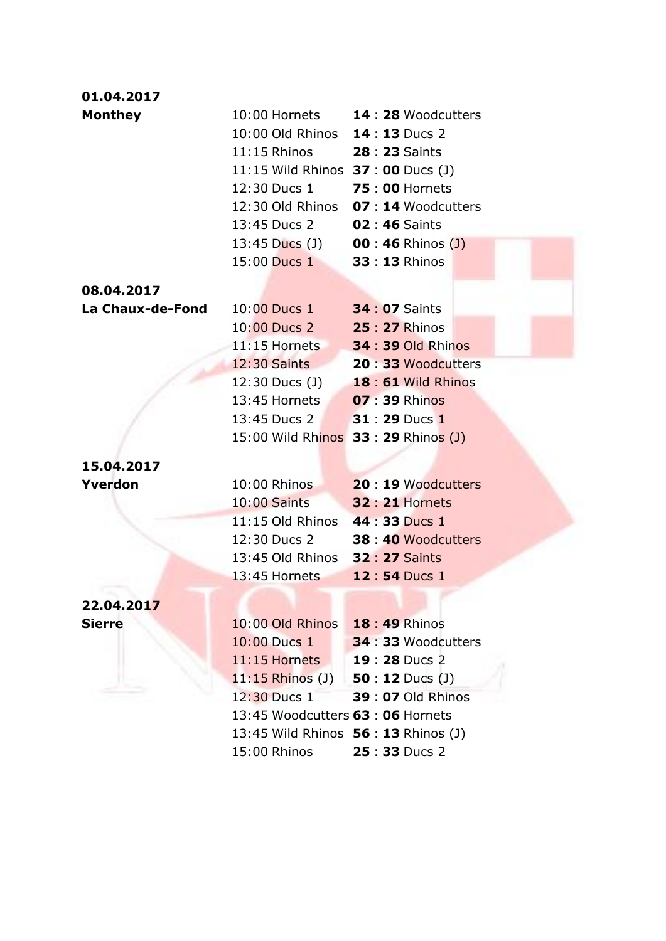| 01.04.2017                          |                                           |                                                                         |  |  |
|-------------------------------------|-------------------------------------------|-------------------------------------------------------------------------|--|--|
| <b>Monthey</b>                      |                                           | 10:00 Hornets <b>14:28</b> Woodcutters                                  |  |  |
|                                     | 10:00 Old Rhinos 14:13 Ducs 2             |                                                                         |  |  |
|                                     | 11:15 Rhinos 28 : 23 Saints               |                                                                         |  |  |
|                                     | 11:15 Wild Rhinos <b>37 : 00</b> Ducs (J) |                                                                         |  |  |
|                                     | 12:30 Ducs 1 75:00 Hornets                |                                                                         |  |  |
|                                     |                                           | 12:30 Old Rhinos 07:14 Woodcutters                                      |  |  |
|                                     | 13:45 Ducs 2                              | <b>02:46 Saints</b>                                                     |  |  |
|                                     | 13:45 Ducs (J) 00 : 46 Rhinos (J)         |                                                                         |  |  |
|                                     | 15:00 Ducs 1 33:13 Rhinos                 |                                                                         |  |  |
|                                     |                                           |                                                                         |  |  |
| 08.04.2017                          |                                           |                                                                         |  |  |
| La Chaux-de-Fond                    | 10:00 Ducs 1 34 : 07 Saints               |                                                                         |  |  |
|                                     | 10:00 Ducs 2 25 : 27 Rhinos               |                                                                         |  |  |
|                                     |                                           | 11:15 Hornets 34:39 Old Rhinos                                          |  |  |
|                                     | 12:30 Saints                              | 20:33 Woodcutters                                                       |  |  |
|                                     |                                           | 12:30 Ducs (J) <b>18:61</b> Wild Rhinos                                 |  |  |
|                                     | 13:45 Hornets 07:39 Rhinos                |                                                                         |  |  |
|                                     | 13:45 Ducs 2 31 : 29 Ducs 1               |                                                                         |  |  |
|                                     | 15:00 Wild Rhinos 33: 29 Rhinos (J)       |                                                                         |  |  |
| 15.04.2017                          |                                           |                                                                         |  |  |
| Yverdon                             | 10:00 Rhinos                              | <b>20 : 19 Woodcutters</b>                                              |  |  |
|                                     | 10:00 Saints                              | <b>32 : 21 Hornets</b>                                                  |  |  |
|                                     | 11:15 Old Rhinos 44:33 Ducs 1             |                                                                         |  |  |
|                                     |                                           | 12:30 Ducs 2 38:40 Woodcutters                                          |  |  |
|                                     | 13:45 Old Rhinos 32:27 Saints             |                                                                         |  |  |
|                                     | 13:45 Hornets <b>12:54</b> Ducs 1         |                                                                         |  |  |
|                                     |                                           |                                                                         |  |  |
| 22.04.2017                          | 10:00 Old Rhinos                          |                                                                         |  |  |
| <b>Sierre</b>                       | 10:00 Ducs 1                              | <b>18:49 Rhinos</b>                                                     |  |  |
|                                     |                                           | 34 : 33 Woodcutters                                                     |  |  |
|                                     | 11:15 Hornets                             | 19:28 Ducs 2                                                            |  |  |
| $11:15$ Rhinos (J) 50 : 12 Ducs (J) |                                           |                                                                         |  |  |
|                                     | 12:30 Ducs 1                              | <b>39 : 07 Old Rhinos</b>                                               |  |  |
|                                     |                                           | 13:45 Woodcutters 63:06 Hornets<br>13:45 Wild Rhinos 56 : 13 Rhinos (J) |  |  |
|                                     |                                           |                                                                         |  |  |
|                                     | 15:00 Rhinos                              | 25:33 Ducs 2                                                            |  |  |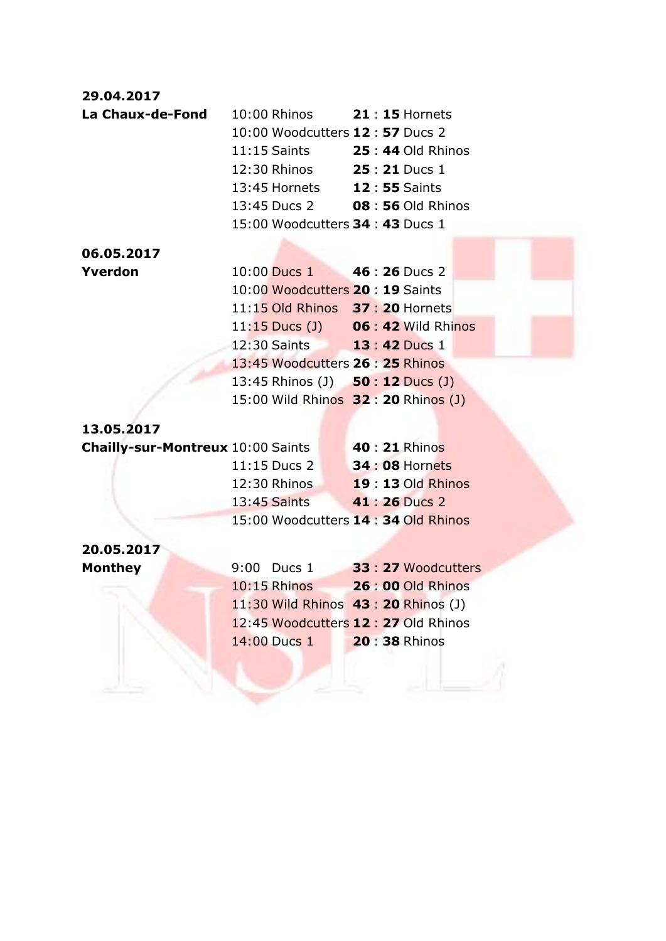| 29.04.2017                                              |                                       |                                      |
|---------------------------------------------------------|---------------------------------------|--------------------------------------|
| La Chaux-de-Fond 10:00 Rhinos 21 : 15 Hornets           |                                       |                                      |
|                                                         | 10:00 Woodcutters <b>12:57</b> Ducs 2 |                                      |
|                                                         |                                       | 11:15 Saints <b>25:44 Old Rhinos</b> |
|                                                         | 12:30 Rhinos <b>25:21</b> Ducs 1      |                                      |
|                                                         | 13:45 Hornets 12:55 Saints            |                                      |
|                                                         |                                       | 13:45 Ducs 2 08 : 56 Old Rhinos      |
|                                                         | 15:00 Woodcutters 34:43 Ducs 1        |                                      |
| 06.05.2017                                              |                                       |                                      |
| Yverdon                                                 | 10:00 Ducs 1 46 : 26 Ducs 2           |                                      |
|                                                         | 10:00 Woodcutters 20: 19 Saints       |                                      |
|                                                         |                                       | 11:15 Old Rhinos 37: 20 Hornets      |
|                                                         |                                       | 11:15 Ducs (J) 06 : 42 Wild Rhinos   |
|                                                         | 12:30 Saints <b>13:42</b> Ducs 1      |                                      |
|                                                         | 13:45 Woodcutters 26: 25 Rhinos       |                                      |
|                                                         |                                       | 13:45 Rhinos (J) 50 : 12 Ducs (J)    |
|                                                         |                                       | 15:00 Wild Rhinos 32: 20 Rhinos (J)  |
|                                                         |                                       |                                      |
| 13.05.2017                                              |                                       |                                      |
| <b>Chailly-sur-Montreux</b> 10:00 Saints 40 : 21 Rhinos |                                       |                                      |
|                                                         |                                       | 11:15 Ducs 2 34:08 Hornets           |
|                                                         |                                       | 12:30 Rhinos <b>19:13</b> Old Rhinos |
|                                                         | <b>13:45 Saints</b>                   | 41 : 26 Ducs 2                       |
|                                                         |                                       | 15:00 Woodcutters 14: 34 Old Rhinos  |
| 20.05.2017                                              |                                       |                                      |
| <b>Monthey</b>                                          |                                       | 9:00 Ducs 1 33 : 27 Woodcutters      |
|                                                         | 10:15 Rhinos                          | $26:00$ Old Rhinos                   |
|                                                         |                                       | 11:30 Wild Rhinos 43: 20 Rhinos (J)  |
|                                                         |                                       | 12:45 Woodcutters 12:27 Old Rhinos   |
|                                                         | 14:00 Ducs 1                          | 20:38 Rhinos                         |
|                                                         |                                       |                                      |
|                                                         |                                       |                                      |
|                                                         |                                       |                                      |